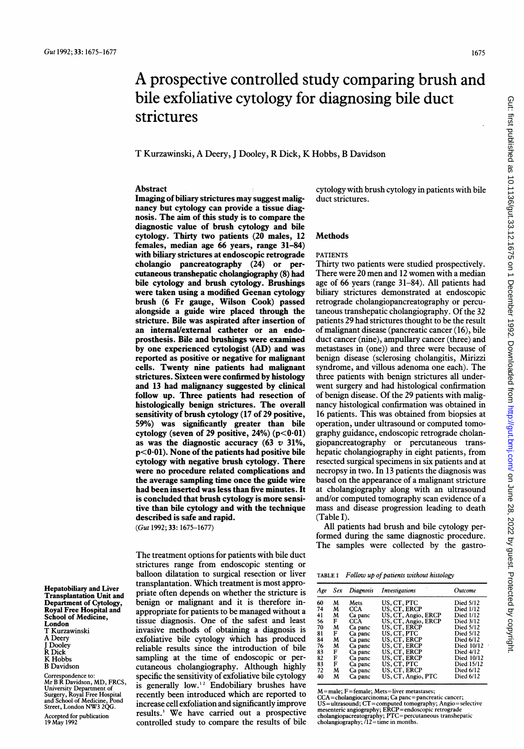# A prospective controlled study comparing brush and bile exfoliative cytology for diagnosing bile duct strictures

T Kurzawinski, A Deery, <sup>J</sup> Dooley, R Dick, K Hobbs, B Davidson

# Abstract

Imaging of biliary strictures may suggest malignancy but cytology can provide a tissue diagnosis. The aim of this study is to compare the diagnostic value of brush cytology and bile cytology. Thirty two patients (20 males, 12 females, median age 66 years, range 31-84) with biliary strictures at endoscopic retrograde cholangio pancreatography (24) or percutaneous transhepatic cholangiography (8) had bile cytology and brush cytology. Brushings were taken using a modified Geenan cytology brush (6 Fr gauge, Wilson Cook) passed alongside a guide wire placed through the stricture. Bile was aspirated after insertion of an internal/external catheter or an endoprosthesis. Bile and brushings were examined by one experienced cytologist (AD) and was reported as positive or negative for malignant celis. Twenty nine patients had malignant strictures. Sixteen were confirmed by histology and 13 had malignancy suggested by clinical follow up. Three patients had resection of histologically benign strictures. The overall sensitivity of brush cytology (17 of 29 positive, 59%) was significantly greater than bile cytology (seven of 29 positive,  $24\%$ ) (p<0.01) as was the diagnostic accuracy  $(63 \text{ v } 31\%$ ,  $p<0.01$ ). None of the patients had positive bile cytology with negative brush cytology. There were no procedure related complications and the average sampling time once the guide wire had been inserted was less than five minutes. It is concluded that brush cytology is more sensitive than bile cytology and with the technique described is safe and rapid.

(Gut 1992; 33:1675-1677)

Hepatobiliary and Liver Transplantation Unit and Department of Cytology Royal Free Hospital and School of Medicine, London T Kurzawinski A Deery J Dooley R Dick K Hobbs

B Davidson

Correspondence to: Mr B R Davidson, MD, FRCS, University Department of Surgery, Royal Free Hospital and School of Medicine, Pond Street, London NW3 2QG.

Accepted for publication 19 May 1992

The treatment options for patients with bile duct strictures range from endoscopic stenting or balloon dilatation to surgical resection or liver transplantation. Which treatment is most appropriate often depends on whether the stricture is benign or malignant and it is therefore inappropriate for patients to be managed without a tissue diagnosis. One of the safest and least invasive methods of obtaining a diagnosis is exfoliative bile cytology which has produced reliable results since the introduction of bile sampling at the time of endoscopic or percutaneous cholangiography. Although highly specific the sensitivity of exfoliative bile cytology is generally low.<sup>12</sup> Endobiliary brushes have recently been introduced which are reported to increase cell exfoliation and significantly improve results.3 We have carried out <sup>a</sup> prospective controlled study to compare the results of bile cytology with brush cytology in patients with bile duct strictures.

# Methods

# PATIENTS

Thirty two patients were studied prospectively. There were 20 men and <sup>12</sup> women with <sup>a</sup> median age of 66 years (range 31-84). All patients had biliary strictures demonstrated at endoscopic retrograde cholangiopancreatography or percutaneous transhepatic cholangiography. Of the 32 patients 29 had strictures thought to be the result of malignant disease (pancreatic cancer (16), bile duct cancer (nine), ampullary cancer (three) and metastases in (one)) and three were because of benign disease (sclerosing cholangitis, Mirizzi syndrome, and villous adenoma one each). The three patients with benign strictures all underwent surgery and had histological confirmation of benign disease. Of the 29 patients with malignancy histological confirmation was obtained in 16 patients. This was obtained from biopsies at operation, under ultrasound or computed tomography guidance, endoscopic retrograde cholangiopancreatography or percutaneous transhepatic cholangiography in eight patients, from resected surgical specimens in six patients and at necropsy in two. In 13 patients the diagnosis was based on the appearance of a malignant stricture at cholangiography along with an ultrasound and/or computed tomography scan evidence of a mass and disease progression leading to death (Table I).

All patients had brush and bile cytology performed during the same diagnostic procedure. The samples were collected by the gastro-

|  | TABLE I Follow up of patients without histology |  |  |  |
|--|-------------------------------------------------|--|--|--|
|--|-------------------------------------------------|--|--|--|

|                                                                |                                                       | Age Sex Diagnosis                                                                                        | Investigations                                                                                                    | Outcome                                                                                    |
|----------------------------------------------------------------|-------------------------------------------------------|----------------------------------------------------------------------------------------------------------|-------------------------------------------------------------------------------------------------------------------|--------------------------------------------------------------------------------------------|
| м<br>60<br>74<br>м<br>41<br>M<br>56<br>F<br>70<br>M<br>F<br>81 | Mets<br>CCA.<br>Ca panc<br>CCA.<br>Ca panc<br>Ca panc | US. CT. PTC<br>US. CT. ERCP<br>US, CT, Angio, ERCP<br>US, CT, Angio, ERCP<br>US. CT. ERCP<br>US. CT. PTC | <b>Died 5/12</b><br>Died 1/12<br>Died 1/12<br>Died 3/12<br>Died 5/12<br>Died 5/12                                 |                                                                                            |
| 84<br>76<br>83<br>82<br>83<br>72<br>40                         | M<br>м<br>F<br>F<br>F<br>M<br>M                       | Ca panc<br>Ca panc<br>Ca panc<br>Ca panc<br>Ca panc<br>Ca panc<br>Ca panc                                | US. CT. ERCP<br>US. CT. ERCP<br>US. CT. ERCP<br>US. CT. ERCP<br>US, CT, PTC<br>US, CT, ERCP<br>US, CT, Angio, PTC | Died 6/12<br>Died 10/12<br>Died 4/12<br>Died 10/12<br>Died 15/12<br>Died 6/12<br>Died 6/12 |

M male; <sup>F</sup>=female; Mets= liver metastases; CCA=cholangiocarcinoma; Ca panc= pancreatic cancer;

US=ultrasound; CT=computed tomography; Angio=selective<br>mesenteric angiography; ERCP=endoscopic retrograde<br>cholangiopacreatography; PTC=percutaneous transhepatic<br>cholangiography; /12=time in months.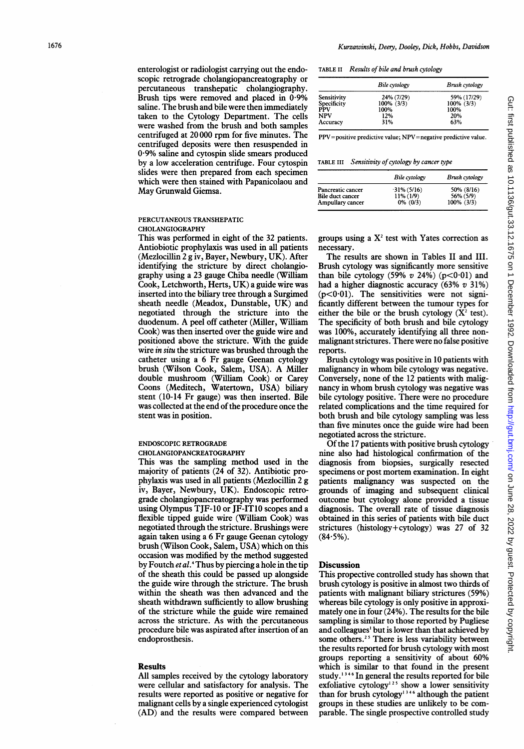enterologist or radiologist carrying out the endoscopic retrograde cholangiopancreatography or percutaneous transhepatic cholangiography. Brush tips were removed and placed in 0.9% saline. The brush and bile were then immediately taken to the Cytology Department. The cells were washed from the brush and both samples centrifuged at 20 000 rpm for five minutes. The centrifuged deposits were then resuspended in 0.9% saline and cytospin slide smears produced by a low acceleration centrifuge. Four cytospin slides were then prepared from each specimen which were then stained with Papanicolaou and May Grunwald Giemsa.

## PERCUTANEOUS TRANSHEPATIC CHOLANGIOGRAPHY

This was performed in eight of the 32 patients. Antiobiotic prophylaxis was used in all patients (Mezlocillin 2 g iv, Bayer, Newbury, UK). After identifying the stricture by direct cholangiography using a 23 gauge Chiba needle (William Cook, Letchworth, Herts, UK) a guide wire was inserted into the biliary tree through a Surgimed sheath needle (Meadox, Dunstable, UK) and negotiated through the stricture into the duodenum. A peel off catheter (Miller, William Cook) was then inserted over the guide wire and positioned above the stricture. With the guide wire *in situ* the stricture was brushed through the catheter using a 6 Fr gauge Geenan cytology brush (Wilson Cook, Salem, USA). A Miller double mushroom (William Cook) or Carey Coons (Meditech, Watertown, USA) biliary stent (10-14 Fr gauge) was then inserted. Bile was collected at the end of the procedure once the stent was in position.

#### ENDOSCOPIC RETROGRADE CHOLANGIOPANCREATOGRAPHY

This was the sampling method used in the majority of patients (24 of 32). Antibiotic prophylaxis was used in all patients (Mezlocillin 2 g iv, Bayer, Newbury, UK). Endoscopic retrograde cholangiopancreatography was performed using Olympus TJF-10 or JF-IT10 scopes and a flexible tipped guide wire (William Cook) was negotiated through the stricture. Brushings were again taken using a 6 Fr gauge Geenan cytology brush (Wilson Cook, Salem, USA) which on this occasion was modified by the method suggested by Foutch *et al*.<sup>4</sup> Thus by piercing a hole in the tip of the sheath this could be passed up alongside the guide wire through the stricture. The brush within the sheath was then advanced and the sheath withdrawn sufficiently to allow brushing of the stricture while the guide wire remained across the stricture. As with the percutaneous procedure bile was aspirated after insertion of an endoprosthesis.

#### Results

All samples received by the cytology laboratory were cellular and satisfactory for analysis. The results were reported as positive or negative for malignant cells by a single experienced cytologist (AD) and the results were compared between

TABLE II Results of bile and brush cytology

|             | Bile cytology | <b>Brush</b> cytology |
|-------------|---------------|-----------------------|
| Sensitivity | 24% (7/29)    | 59% (17/29)           |
| Specificity | 100% (3/3)    | $100\%$ (3/3)         |
| <b>PPV</b>  | 100%          | 100%                  |
| NPV         | 12%           | 20%                   |
| Accuracy    | 31%           | 63%                   |

PPV=positive predictive value; NPV=negative predictive value.

TABLE III Sensitivity of cytology by cancer type

|                   | Bile cytology  | Brush cytology |
|-------------------|----------------|----------------|
| Pancreatic cancer | $-31\% (5/16)$ | 50% (8/16)     |
| Bile duct cancer  | $11\% (1/9)$   | 56% (5/9)      |
| Ampullary cancer  | $0\%$ (0/3)    | $100\%$ (3/3)  |

groups using a  $X<sup>2</sup>$  test with Yates correction as necessary.

The results are shown in Tables II and III. Brush cytology was significantly more sensitive than bile cytology (59%  $v$  24%) ( $p < 0.01$ ) and had a higher diagnostic accuracy (63% v 31%)  $(p<0.01)$ . The sensitivities were not significantly different between the tumour types for either the bile or the brush cytology  $(X^2$  test). The specificity of both brush and bile cytology was 100%, accurately identifying all three nonmalignant strictures. There were no false positive reports.

Brush cytology was positive in 10 patients with malignancy in whom bile cytology was negative. Conversely, none of the 12 patients with malignancy in whom brush cytology was negative was bile cytology positive. There were no procedure related complications and the time required for both brush and bile cytology sampling was less than five minutes once the guide wire had been negotiated across the stricture.

Of the 17 patients with positive brush cytology nine also had histological confirmation of the diagnosis from biopsies, surgically resected specimens or post mortem examination. In eight patients malignancy was suspected on the grounds of imaging and subsequent clinical outcome but cytology alone provided a tissue diagnosis. The overall rate of tissue diagnosis obtained in this series of patients with bile duct strictures (histology+cytology) was 27 of 32  $(84.5\%)$ .

### **Discussion**

This propective controlled study has shown that brush cytology is positive in almost two thirds of patients with malignant biliary strictures (59%) whereas bile cytology is only positive in approximately one in four (24%). The results for the bile sampling is similar to those reported by Pugliese and colleagues' but is lower than that achieved by some others.<sup>25</sup> There is less variability between the results reported for brush cytology with most groups reporting a sensitivity of about 60% which is similar to that found in the present study.<sup>1346</sup> In general the results reported for bile exfoliative cytology<sup>125</sup> show a lower sensitivity than for brush cytology<sup>1346</sup> although the patient groups in these studies are unlikely to be comparable. The single prospective controlled study